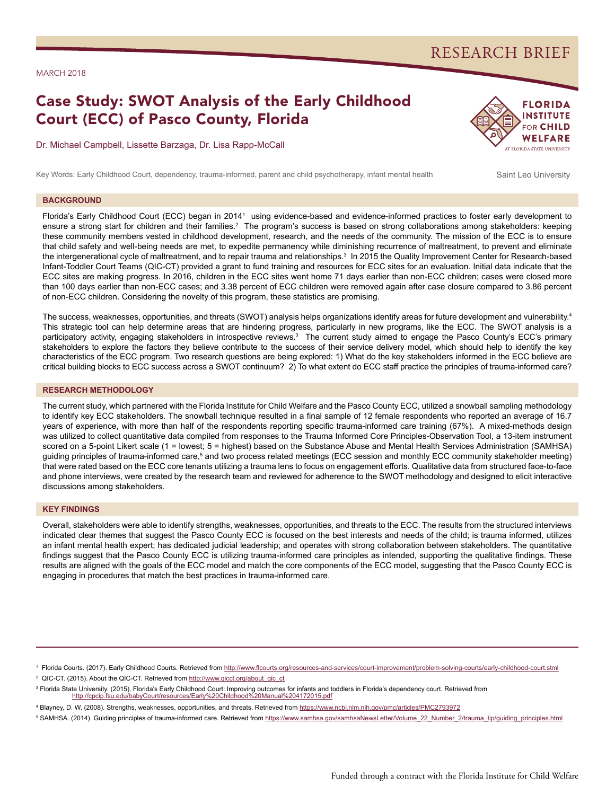## RESEARCH BRIEF

#### MARCH 2018

# Case Study: SWOT Analysis of the Early Childhood Court (ECC) of Pasco County, Florida

Dr. Michael Campbell, Lissette Barzaga, Dr. Lisa Rapp-McCall



Key Words: Early Childhood Court, dependency, trauma-informed, parent and child psychotherapy, infant mental health Saint Leo University

#### **BACKGROUND**

Florida's Early Childhood Court (ECC) began in 2014<sup>1</sup> using evidence-based and evidence-informed practices to foster early development to ensure a strong start for children and their families.<sup>2</sup> The program's success is based on strong collaborations among stakeholders: keeping these community members vested in childhood development, research, and the needs of the community. The mission of the ECC is to ensure that child safety and well-being needs are met, to expedite permanency while diminishing recurrence of maltreatment, to prevent and eliminate the intergenerational cycle of maltreatment, and to repair trauma and relationships.3 In 2015 the Quality Improvement Center for Research-based Infant-Toddler Court Teams (QIC-CT) provided a grant to fund training and resources for ECC sites for an evaluation. Initial data indicate that the ECC sites are making progress. In 2016, children in the ECC sites went home 71 days earlier than non-ECC children; cases were closed more than 100 days earlier than non-ECC cases; and 3.38 percent of ECC children were removed again after case closure compared to 3.86 percent of non-ECC children. Considering the novelty of this program, these statistics are promising.

The success, weaknesses, opportunities, and threats (SWOT) analysis helps organizations identify areas for future development and vulnerability.<sup>4</sup> This strategic tool can help determine areas that are hindering progress, particularly in new programs, like the ECC. The SWOT analysis is a participatory activity, engaging stakeholders in introspective reviews.<sup>3</sup> The current study aimed to engage the Pasco County's ECC's primary stakeholders to explore the factors they believe contribute to the success of their service delivery model, which should help to identify the key characteristics of the ECC program. Two research questions are being explored: 1) What do the key stakeholders informed in the ECC believe are critical building blocks to ECC success across a SWOT continuum? 2) To what extent do ECC staff practice the principles of trauma-informed care?

#### **RESEARCH METHODOLOGY**

The current study, which partnered with the Florida Institute for Child Welfare and the Pasco County ECC, utilized a snowball sampling methodology to identify key ECC stakeholders. The snowball technique resulted in a final sample of 12 female respondents who reported an average of 16.7 years of experience, with more than half of the respondents reporting specific trauma-informed care training (67%). A mixed-methods design was utilized to collect quantitative data compiled from responses to the Trauma Informed Core Principles-Observation Tool, a 13-item instrument scored on a 5-point Likert scale (1 = lowest; 5 = highest) based on the Substance Abuse and Mental Health Services Administration (SAMHSA) guiding principles of trauma-informed care,<sup>5</sup> and two process related meetings (ECC session and monthly ECC community stakeholder meeting) that were rated based on the ECC core tenants utilizing a trauma lens to focus on engagement efforts. Qualitative data from structured face-to-face and phone interviews, were created by the research team and reviewed for adherence to the SWOT methodology and designed to elicit interactive discussions among stakeholders.

#### **KEY FINDINGS**

Overall, stakeholders were able to identify strengths, weaknesses, opportunities, and threats to the ECC. The results from the structured interviews indicated clear themes that suggest the Pasco County ECC is focused on the best interests and needs of the child; is trauma informed, utilizes an infant mental health expert; has dedicated judicial leadership; and operates with strong collaboration between stakeholders. The quantitative findings suggest that the Pasco County ECC is utilizing trauma-informed care principles as intended, supporting the qualitative findings. These results are aligned with the goals of the ECC model and match the core components of the ECC model, suggesting that the Pasco County ECC is engaging in procedures that match the best practices in trauma-informed care.

<sup>2</sup> QIC-CT. (2015). About the QIC-CT. Retrieved from http://www.gicct.org/about\_qic\_ct

<sup>&</sup>lt;sup>1</sup> Florida Courts. (2017). Early Childhood Courts. Retrieved from [http://www.flcourts.org/resources-and-services/court-improvement/problem-solving-courts/early-childhood-court.stml](http://www.flcourts.org/resources-and-services/court-improvement/problem-solving-courts/early-childh)

<sup>&</sup>lt;sup>3</sup> Florida State University. (2015). Florida's Early Childhood Court: Improving outcomes for infants and toddlers in Florida's dependency court. Retrieved from <http://cpcip.fsu.edu/babyCourt/resources/Early%20Childhood%20Manual%204172015.pdf>

<sup>4</sup> Blayney, D. W. (2008). Strengths, weaknesses, opportunities, and threats. Retrieved from <https://www.ncbi.nlm.nih.gov/pmc/articles/PMC2793972>

<sup>&</sup>lt;sup>5</sup> SAMHSA. (2014). Guiding principles of trauma-informed care. Retrieved from [https://www.samhsa.gov/samhsaNewsLetter/Volume\\_22\\_Number\\_2/trauma\\_tip/guiding\\_principles.html](https://www.samhsa.gov/samhsaNewsLetter/Volume_22_Number_2/trauma_tip/guiding_principles.html)